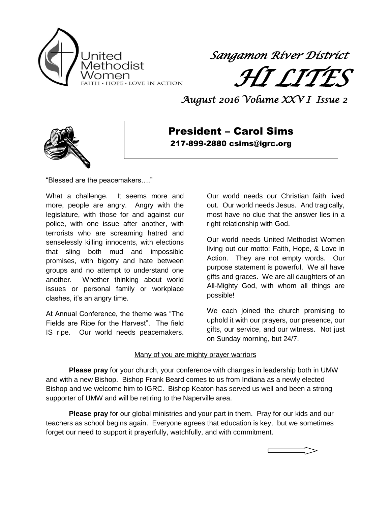

*Sangamon River District* 

 *HI LITES* 

*August 2016 Volume XXV I Issue 2* 



President – Carol Sims 217-899-2880 csims@igrc.org

"Blessed are the peacemakers…."

What a challenge. It seems more and more, people are angry. Angry with the legislature, with those for and against our police, with one issue after another, with terrorists who are screaming hatred and senselessly killing innocents, with elections that sling both mud and impossible promises, with bigotry and hate between groups and no attempt to understand one another. Whether thinking about world issues or personal family or workplace clashes, it's an angry time.

At Annual Conference, the theme was "The Fields are Ripe for the Harvest". The field IS ripe. Our world needs peacemakers.

Our world needs our Christian faith lived out. Our world needs Jesus. And tragically, most have no clue that the answer lies in a right relationship with God.

Our world needs United Methodist Women living out our motto: Faith, Hope, & Love in Action. They are not empty words. Our purpose statement is powerful. We all have gifts and graces. We are all daughters of an All-Mighty God, with whom all things are possible!

We each joined the church promising to uphold it with our prayers, our presence, our gifts, our service, and our witness. Not just on Sunday morning, but 24/7.

### Many of you are mighty prayer warriors

**Please pray** for your church, your conference with changes in leadership both in UMW and with a new Bishop. Bishop Frank Beard comes to us from Indiana as a newly elected Bishop and we welcome him to IGRC. Bishop Keaton has served us well and been a strong supporter of UMW and will be retiring to the Naperville area.

**Please pray** for our global ministries and your part in them. Pray for our kids and our teachers as school begins again. Everyone agrees that education is key, but we sometimes forget our need to support it prayerfully, watchfully, and with commitment.

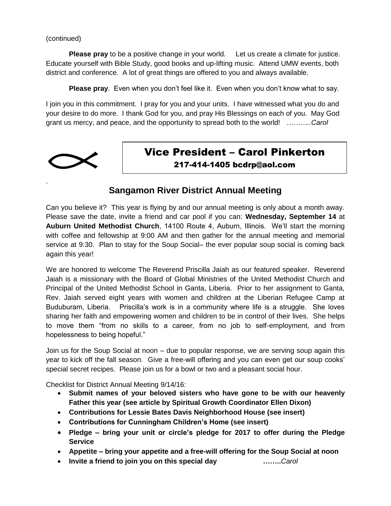(continued)

**Please pray** to be a positive change in your world. Let us create a climate for justice. Educate yourself with Bible Study, good books and up-lifting music. Attend UMW events, both district and conference. A lot of great things are offered to you and always available.

**Please pray**. Even when you don't feel like it. Even when you don't know what to say.

I join you in this commitment. I pray for you and your units. I have witnessed what you do and your desire to do more. I thank God for you, and pray His Blessings on each of you. May God grant us mercy, and peace, and the opportunity to spread both to the world! *………..Carol*



.

### Vice President – Carol Pinkerton 217-414-1405 bcdrp@aol.com

### **Sangamon River District Annual Meeting**

Can you believe it? This year is flying by and our annual meeting is only about a month away. Please save the date, invite a friend and car pool if you can: **Wednesday, September 14** at **Auburn United Methodist Church**, 14100 Route 4, Auburn, Illinois. We'll start the morning with coffee and fellowship at 9:00 AM and then gather for the annual meeting and memorial service at 9:30. Plan to stay for the Soup Social– the ever popular soup social is coming back again this year!

We are honored to welcome The Reverend Priscilla Jaiah as our featured speaker. Reverend Jaiah is a missionary with the Board of Global Ministries of the United Methodist Church and Principal of the United Methodist School in Ganta, Liberia. Prior to her assignment to Ganta, Rev. Jaiah served eight years with women and children at the Liberian Refugee Camp at Buduburam, Liberia. Priscilla's work is in a community where life is a struggle. She loves sharing her faith and empowering women and children to be in control of their lives. She helps to move them "from no skills to a career, from no job to self-employment, and from hopelessness to being hopeful."

Join us for the Soup Social at noon – due to popular response, we are serving soup again this year to kick off the fall season. Give a free-will offering and you can even get our soup cooks' special secret recipes. Please join us for a bowl or two and a pleasant social hour.

Checklist for District Annual Meeting 9/14/16:

- **Submit names of your beloved sisters who have gone to be with our heavenly Father this year (see article by Spiritual Growth Coordinator Ellen Dixon)**
- **Contributions for Lessie Bates Davis Neighborhood House (see insert)**
- **Contributions for Cunningham Children's Home (see insert)**
- **Pledge – bring your unit or circle's pledge for 2017 to offer during the Pledge Service**
- **Appetite – bring your appetite and a free-will offering for the Soup Social at noon**
- **Invite a friend to join you on this special day ……..***Carol*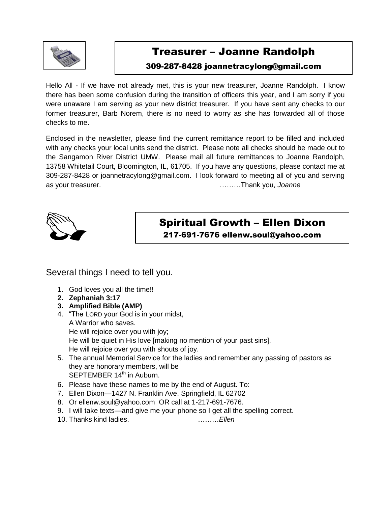

## Treasurer – Joanne Randolph

### 309-287-8428 joannetracylong@gmail.com

Hello All - If we have not already met, this is your new treasurer, Joanne Randolph. I know there has been some confusion during the transition of officers this year, and I am sorry if you were unaware I am serving as your new district treasurer. If you have sent any checks to our former treasurer, Barb Norem, there is no need to worry as she has forwarded all of those checks to me.

Enclosed in the newsletter, please find the current remittance report to be filled and included with any checks your local units send the district. Please note all checks should be made out to the Sangamon River District UMW. Please mail all future remittances to Joanne Randolph, 13758 Whitetail Court, Bloomington, IL, 61705. If you have any questions, please contact me at 309-287-8428 or [joannetracylong@gmail.com.](mailto:joannetracylong@gmail.com) I look forward to meeting all of you and serving as your treasurer. ………Thank you, *Joanne*



Spiritual Growth – Ellen Dixon

217-691-7676 ellenw.soul@yahoo.com

### Several things I need to tell you.

- 1. God loves you all the time!!
- **2. Zephaniah 3:17**
- **3. Amplified Bible (AMP)**
- 4. "The LORD your God is in your midst, A Warrior who saves. He will rejoice over you with joy; He will be quiet in His love [making no mention of your past sins], He will rejoice over you with shouts of joy.
- 5. The annual Memorial Service for the ladies and remember any passing of pastors as they are honorary members, will be SEPTEMBER 14<sup>th</sup> in Auburn.
- 6. Please have these names to me by the end of August. To:
- 7. Ellen Dixon—1427 N. Franklin Ave. Springfield, IL 62702
- 8. Or [ellenw.soul@yahoo.com](mailto:ellenw.soul@yahoo.com) OR call at 1-217-691-7676.
- 9. I will take texts—and give me your phone so I get all the spelling correct.
- 10. Thanks kind ladies. ………*Ellen*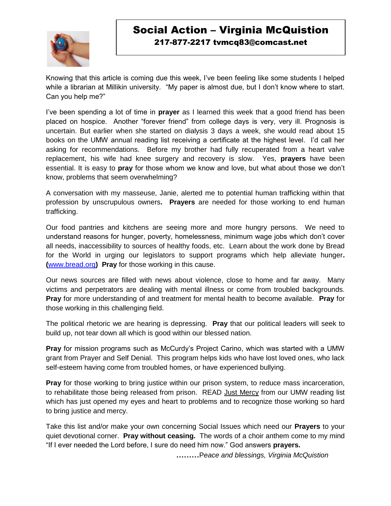

### Social Action – Virginia McQuistion 217-877-2217 tvmcq83@comcast.net

Knowing that this article is coming due this week, I've been feeling like some students I helped while a librarian at Millikin university. "My paper is almost due, but I don't know where to start. Can you help me?"

I've been spending a lot of time in **prayer** as I learned this week that a good friend has been placed on hospice. Another "forever friend" from college days is very, very ill. Prognosis is uncertain. But earlier when she started on dialysis 3 days a week, she would read about 15 books on the UMW annual reading list receiving a certificate at the highest level. I'd call her asking for recommendations. Before my brother had fully recuperated from a heart valve replacement, his wife had knee surgery and recovery is slow. Yes, **prayers** have been essential. It is easy to **pray** for those whom we know and love, but what about those we don't know, problems that seem overwhelming?

A conversation with my masseuse, Janie, alerted me to potential human trafficking within that profession by unscrupulous owners**. Prayers** are needed for those working to end human trafficking.

Our food pantries and kitchens are seeing more and more hungry persons. We need to understand reasons for hunger, poverty, homelessness, minimum wage jobs which don't cover all needs, inaccessibility to sources of healthy foods, etc. Learn about the work done by Bread for the World in urging our legislators to support programs which help alleviate hunger**. (**[www.bread.org](http://www.bread.org/)**) Pray** for those working in this cause.

Our news sources are filled with news about violence, close to home and far away. Many victims and perpetrators are dealing with mental illness or come from troubled backgrounds. **Pray** for more understanding of and treatment for mental health to become available. **Pray** for those working in this challenging field.

The political rhetoric we are hearing is depressing. **Pray** that our political leaders will seek to build up, not tear down all which is good within our blessed nation.

**Pray** for mission programs such as McCurdy's Project Carino, which was started with a UMW grant from Prayer and Self Denial. This program helps kids who have lost loved ones, who lack self-esteem having come from troubled homes, or have experienced bullying.

**Pray** for those working to bring justice within our prison system, to reduce mass incarceration, to rehabilitate those being released from prison. READ Just Mercy from our UMW reading list which has just opened my eyes and heart to problems and to recognize those working so hard to bring justice and mercy.

Take this list and/or make your own concerning Social Issues which need our **Prayers** to your quiet devotional corner. **Pray without ceasing.** The words of a choir anthem come to my mind "If I ever needed the Lord before, I sure do need him now." God answers **prayers.**

**………**P*eace and blessings, Virginia McQuistion*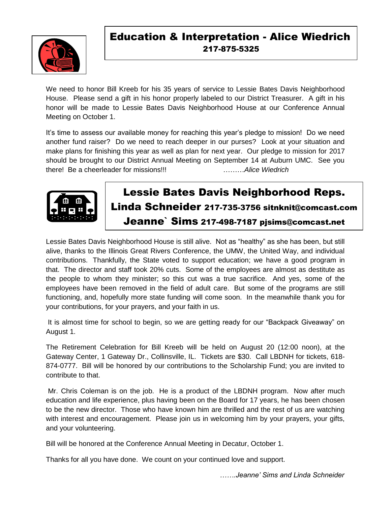

## Education & Interpretation - Alice Wiedrich 217-875-5325

We need to honor Bill Kreeb for his 35 years of service to Lessie Bates Davis Neighborhood House. Please send a gift in his honor properly labeled to our District Treasurer. A gift in his honor will be made to Lessie Bates Davis Neighborhood House at our Conference Annual Meeting on October 1.

It's time to assess our available money for reaching this year's pledge to mission! Do we need another fund raiser? Do we need to reach deeper in our purses? Look at your situation and make plans for finishing this year as well as plan for next year. Our pledge to mission for 2017 should be brought to our District Annual Meeting on September 14 at Auburn UMC. See you there! Be a cheerleader for missions!!! ………*Alice Wiedrich*



### *In Christ Service, Cinda Pringle* Lessie Bates Davis Neighborhood Reps. Linda Schneider 217-735-3756 sitnknit@comcast.com Jeanne` Sims 217-498-7187 pjsims@comcast.net

Lessie Bates Davis Neighborhood House is still alive. Not as "healthy" as she has been, but still alive, thanks to the Illinois Great Rivers Conference, the UMW, the United Way, and individual contributions. Thankfully, the State voted to support education; we have a good program in that. The director and staff took 20% cuts. Some of the employees are almost as destitute as the people to whom they minister; so this cut was a true sacrifice. And yes, some of the employees have been removed in the field of adult care. But some of the programs are still functioning, and, hopefully more state funding will come soon. In the meanwhile thank you for your contributions, for your prayers, and your faith in us.

It is almost time for school to begin, so we are getting ready for our "Backpack Giveaway" on August 1.

The Retirement Celebration for Bill Kreeb will be held on August 20 (12:00 noon), at the Gateway Center, 1 Gateway Dr., Collinsville, IL. Tickets are \$30. Call LBDNH for tickets, 618- 874-0777. Bill will be honored by our contributions to the Scholarship Fund; you are invited to contribute to that.

Mr. Chris Coleman is on the job. He is a product of the LBDNH program. Now after much education and life experience, plus having been on the Board for 17 years, he has been chosen to be the new director. Those who have known him are thrilled and the rest of us are watching with interest and encouragement. Please join us in welcoming him by your prayers, your gifts, and your volunteering.

Bill will be honored at the Conference Annual Meeting in Decatur, October 1.

Thanks for all you have done. We count on your continued love and support.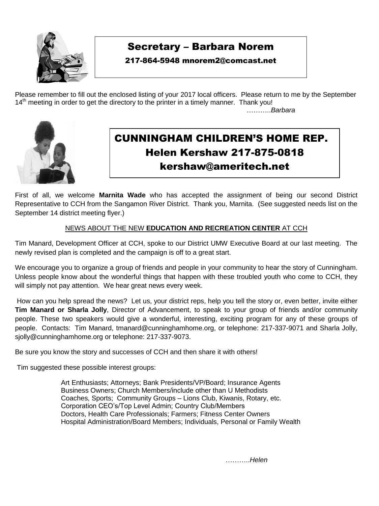

٦

## Secretary – Barbara Norem

### 217-864-5948 mnorem2@comcast.net

Please remember to fill out the enclosed listing of your 2017 local officers. Please return to me by the September  $14<sup>th</sup>$  meeting in order to get the directory to the printer in a timely manner. Thank you!

………..*Barbara*



## CUNNINGHAM CHILDREN'S HOME REP. Helen Kershaw 217-875-0818 [kershaw@ameritech.ne](mailto:kershaw@ameritech.n)t

First of all, we welcome **Marnita Wade** who has accepted the assignment of being our second District Representative to CCH from the Sangamon River District. Thank you, Marnita. (See suggested needs list on the September 14 district meeting flyer.)

### NEWS ABOUT THE NEW **EDUCATION AND RECREATION CENTER** AT CCH

Tim Manard, Development Officer at CCH, spoke to our District UMW Executive Board at our last meeting. The newly revised plan is completed and the campaign is off to a great start.

We encourage you to organize a group of friends and people in your community to hear the story of Cunningham. Unless people know about the wonderful things that happen with these troubled youth who come to CCH, they will simply not pay attention. We hear great news every week.

How can you help spread the news? Let us, your district reps, help you tell the story or, even better, invite either **Tim Manard or Sharla Jolly**, Director of Advancement, to speak to your group of friends and/or community people. These two speakers would give a wonderful, interesting, exciting program for any of these groups of people. Contacts: Tim Manard, [tmanard@cunninghamhome.org,](mailto:tmanard@cunninghamhome.org) or telephone: 217-337-9071 and Sharla Jolly, [sjolly@cunninghamhome.org](mailto:sjolly@cunninghamhome.org) or telephone: 217-337-9073.

Be sure you know the story and successes of CCH and then share it with others!

Tim suggested these possible interest groups:

 Art Enthusiasts; Attorneys; Bank Presidents/VP/Board; Insurance Agents Business Owners; Church Members/include other than U Methodists Coaches, Sports; Community Groups – Lions Club, Kiwanis, Rotary, etc. Corporation CEO's/Top Level Admin; Country Club/Members Doctors, Health Care Professionals; Farmers; Fitness Center Owners Hospital Administration/Board Members; Individuals, Personal or Family Wealth

………..*Helen*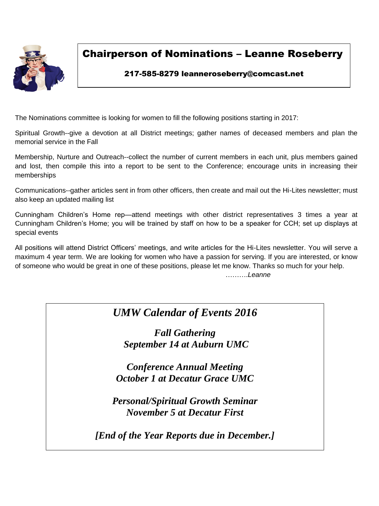

## Chairperson of Nominations – Leanne Roseberry

### 217-585-8279 leanneroseberry@comcast.net

The Nominations committee is looking for women to fill the following positions starting in 2017:

Spiritual Growth--give a devotion at all District meetings; gather names of deceased members and plan the memorial service in the Fall

Membership, Nurture and Outreach--collect the number of current members in each unit, plus members gained and lost, then compile this into a report to be sent to the Conference; encourage units in increasing their memberships

Communications--gather articles sent in from other officers, then create and mail out the Hi-Lites newsletter; must also keep an updated mailing list

Cunningham Children's Home rep—attend meetings with other district representatives 3 times a year at Cunningham Children's Home; you will be trained by staff on how to be a speaker for CCH; set up displays at special events

All positions will attend District Officers' meetings, and write articles for the Hi-Lites newsletter. You will serve a maximum 4 year term. We are looking for women who have a passion for serving. If you are interested, or know of someone who would be great in one of these positions, please let me know. Thanks so much for your help. ……….*Leanne*

## *UMW Calendar of Events 2016*

 *Fall Gathering*  $\frac{1}{2}$ *September 14 at Auburn UMC*

 *October 1 at Decatur Grace UMC Conference Annual Meeting*

*Personal/Spiritual Growth Seminar November 5 at Decatur First*

*[End of the Year Reports due in December.]*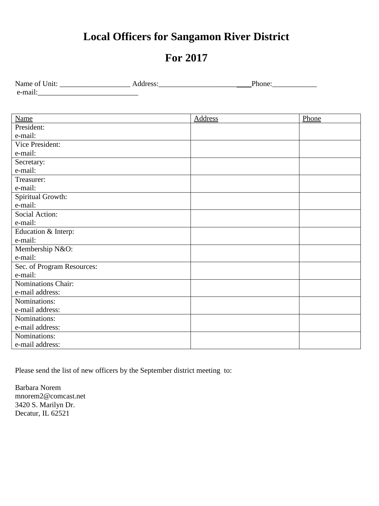## **Local Officers for Sangamon River District**

## **For 2017**

| Name of Unit:       | $\sim$ $\sim$ $\sim$<br>mone |
|---------------------|------------------------------|
| $\cdot$ .<br>e-mail |                              |

| <b>Name</b>                | <b>Address</b> | Phone |
|----------------------------|----------------|-------|
| President:                 |                |       |
| e-mail:                    |                |       |
| Vice President:            |                |       |
| e-mail:                    |                |       |
| Secretary:                 |                |       |
| e-mail:                    |                |       |
| Treasurer:                 |                |       |
| e-mail:                    |                |       |
| Spiritual Growth:          |                |       |
| e-mail:                    |                |       |
| Social Action:             |                |       |
| e-mail:                    |                |       |
| Education & Interp:        |                |       |
| e-mail:                    |                |       |
| Membership N&O:            |                |       |
| e-mail:                    |                |       |
| Sec. of Program Resources: |                |       |
| e-mail:                    |                |       |
| Nominations Chair:         |                |       |
| e-mail address:            |                |       |
| Nominations:               |                |       |
| e-mail address:            |                |       |
| Nominations:               |                |       |
| e-mail address:            |                |       |
| Nominations:               |                |       |
| e-mail address:            |                |       |

Please send the list of new officers by the September district meeting to:

Barbara Norem mnorem2@comcast.net 3420 S. Marilyn Dr. Decatur, IL 62521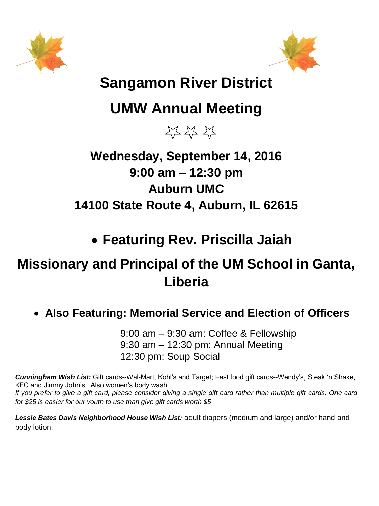



## **Sangamon River District**

# **UMW Annual Meeting**

23 23 23

## **Wednesday, September 14, 2016 9:00 am – 12:30 pm Auburn UMC 14100 State Route 4, Auburn, IL 62615**

## **Featuring Rev. Priscilla Jaiah**

## **Missionary and Principal of the UM School in Ganta, Liberia**

## **Also Featuring: Memorial Service and Election of Officers**

9:00 am – 9:30 am: Coffee & Fellowship 9:30 am – 12:30 pm: Annual Meeting 12:30 pm: Soup Social

*Cunningham Wish List:* Gift cards--Wal-Mart, Kohl's and Target; Fast food gift cards--Wendy's, Steak 'n Shake, KFC and Jimmy John's. Also women's body wash.

*If you prefer to give a gift card, please consider giving a single gift card rather than multiple gift cards. One card for \$25 is easier for our youth to use than give gift cards worth \$5* 

*Lessie Bates Davis Neighborhood House Wish List:* adult diapers (medium and large) and/or hand and body lotion.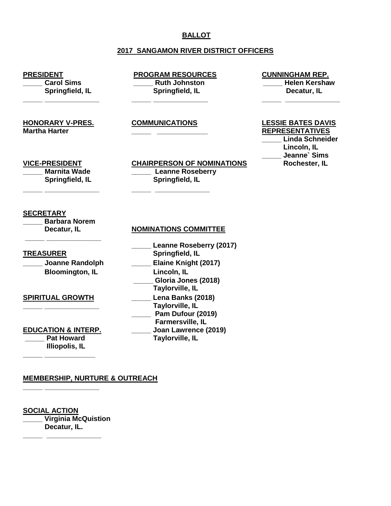### **BALLOT**

### **2017 SANGAMON RIVER DISTRICT OFFICERS**

**PRESIDENT**<br> **PROGRAM RESOURCES** Carol Sims<br> **PROGRAM RESOURCES** CUNNINGHAM REP.<br> **PROGRAM RESOURCES Springfield, IL Springfield, IL Decatur, IL**

**Ruth Johnston Communisty Communisty Communisty Communisty Property** Helen Kershaw

**Martha Harter \_\_\_\_\_ \_\_\_\_\_\_\_\_\_\_\_\_\_ REPRESENTATIVES**

**HONORARY V-PRES. COMMUNICATIONS LESSIE BATES DAVIS**

**\_\_\_\_\_ \_\_\_\_\_\_\_\_\_\_\_\_\_\_ \_\_\_\_\_ \_\_\_\_\_\_\_\_\_\_\_\_\_\_ \_\_\_\_\_ \_\_\_\_\_\_\_\_\_\_\_\_\_\_**

**VICE-PRESIDENT CHAIRPERSON OF NOMINATIONS \_\_\_\_\_ Marnita Wade \_\_\_\_\_ Leanne Roseberry Springfield, IL Springfield, IL**

 **\_\_\_\_\_ Linda Schneider Lincoln, IL** Jeanne` Sims<br>Rochester, IL

**\_\_\_\_\_ \_\_\_\_\_\_\_\_\_\_\_\_\_\_ \_\_\_\_\_ \_\_\_\_\_\_\_\_\_\_\_\_\_\_**

#### **SECRETARY**

**\_\_\_\_\_ Barbara Norem \_\_\_\_\_ \_\_\_\_\_\_\_\_\_\_\_\_\_\_**

### **TREASURER**

#### **SPIRITUAL GROWTH \_\_\_\_\_ Lena Banks (2018)**

**EDUCATION & INTERP. Pat Howard Illiopolis, IL**

**\_\_\_\_\_ \_\_\_\_\_\_\_\_\_\_\_\_\_**

**\_\_\_\_\_ \_\_\_\_\_\_\_\_\_\_\_\_\_\_**

#### **Decatur, IL NOMINATIONS COMMITTEE**

|                                                     | <b>Leanne Roseberry (2017)</b>                                                              |
|-----------------------------------------------------|---------------------------------------------------------------------------------------------|
| <u>TREASURER</u>                                    | Springfield, IL                                                                             |
| <b>Joanne Randolph</b>                              | Elaine Knight (2017)                                                                        |
| <b>Bloomington, IL</b>                              | Lincoln, IL<br>Gloria Jones (2018)<br><b>Taylorville, IL</b>                                |
| <b>SPIRITUAL GROWTH</b>                             | Lena Banks (2018)<br><b>Taylorville, IL</b><br>Pam Dufour (2019)<br><b>Farmersville, IL</b> |
| <b>EDUCATION &amp; INTERP.</b><br><b>Pat Howard</b> | Joan Lawrence (2019)<br><b>Taylorville, IL</b>                                              |

#### **MEMBERSHIP, NURTURE & OUTREACH**

**SOCIAL ACTION \_\_\_\_\_ Virginia McQuistion Decatur, IL.**

**\_\_\_\_\_ \_\_\_\_\_\_\_\_\_\_\_\_\_\_**